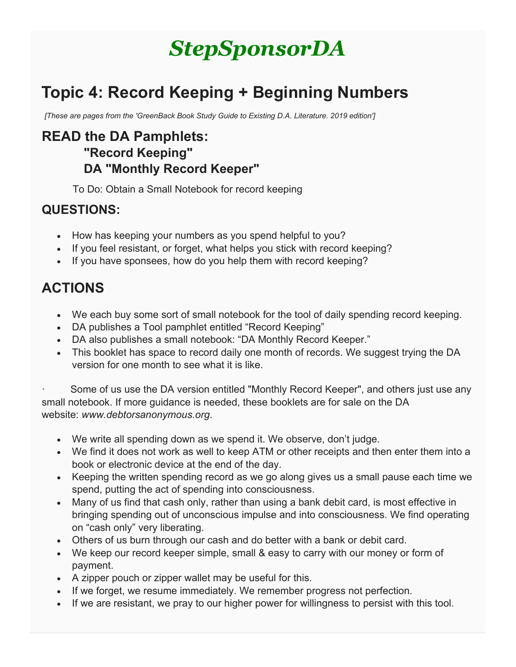# *StepSponsorDA*

# **Topic 4: Record Keeping + Beginning Numbers**

*[These are pages from the 'GreenBack Book Study Guide to Existing D.A. Literature. 2019 edition']*

#### **READ the DA Pamphlets: "Record Keeping" DA "Monthly Record Keeper"**

To Do: Obtain a Small Notebook for record keeping

#### **QUESTIONS:**

- How has keeping your numbers as you spend helpful to you?
- If you feel resistant, or forget, what helps you stick with record keeping?
- If you have sponsees, how do you help them with record keeping?

## **ACTIONS**

- We each buy some sort of small notebook for the tool of daily spending record keeping.
- DA publishes a Tool pamphlet entitled "Record Keeping"
- DA also publishes a small notebook: "DA Monthly Record Keeper."
- This booklet has space to record daily one month of records. We suggest trying the DA version for one month to see what it is like.

Some of us use the DA version entitled "Monthly Record Keeper", and others just use any small notebook. If more guidance is needed, these booklets are for sale on the DA website: *www.debtorsanonymous.org*.

- We write all spending down as we spend it. We observe, don't judge.
- We find it does not work as well to keep ATM or other receipts and then enter them into a book or electronic device at the end of the day.
- Keeping the written spending record as we go along gives us a small pause each time we spend, putting the act of spending into consciousness.
- Many of us find that cash only, rather than using a bank debit card, is most effective in bringing spending out of unconscious impulse and into consciousness. We find operating on "cash only" very liberating.
- Others of us burn through our cash and do better with a bank or debit card.
- We keep our record keeper simple, small & easy to carry with our money or form of payment.
- A zipper pouch or zipper wallet may be useful for this.
- If we forget, we resume immediately. We remember progress not perfection.
- If we are resistant, we pray to our higher power for willingness to persist with this tool.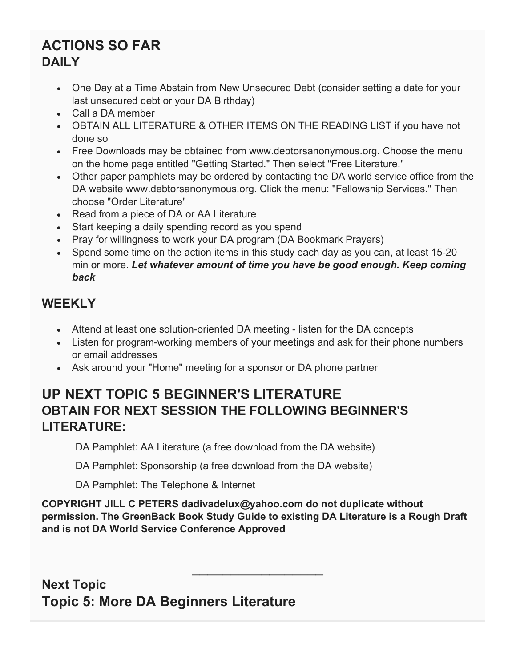#### **ACTIONS SO FAR DAILY**

- One Day at a Time Abstain from New Unsecured Debt (consider setting a date for your last unsecured debt or your DA Birthday)
- Call a DA member
- OBTAIN ALL LITERATURE & OTHER ITEMS ON THE READING LIST if you have not done so
- Free Downloads may be obtained from www.debtorsanonymous.org. Choose the menu on the home page entitled "Getting Started." Then select "Free Literature."
- Other paper pamphlets may be ordered by contacting the DA world service office from the DA website www.debtorsanonymous.org. Click the menu: "Fellowship Services." Then choose "Order Literature"
- Read from a piece of DA or AA Literature
- Start keeping a daily spending record as you spend
- Pray for willingness to work your DA program (DA Bookmark Prayers)
- Spend some time on the action items in this study each day as you can, at least 15-20 min or more. *Let whatever amount of time you have be good enough. Keep coming back*

#### **WEEKLY**

- Attend at least one solution-oriented DA meeting listen for the DA concepts
- Listen for program-working members of your meetings and ask for their phone numbers or email addresses
- Ask around your "Home" meeting for a sponsor or DA phone partner

#### **UP NEXT TOPIC 5 BEGINNER'S LITERATURE OBTAIN FOR NEXT SESSION THE FOLLOWING BEGINNER'S LITERATURE:**

DA Pamphlet: AA Literature (a free download from the DA website)

DA Pamphlet: Sponsorship (a free download from the DA website)

DA Pamphlet: The Telephone & Internet

**COPYRIGHT JILL C PETERS dadivadelux@yahoo.com do not duplicate without permission. The GreenBack Book Study Guide to existing DA Literature is a Rough Draft and is not DA World Service Conference Approved**

**\_\_\_\_\_\_\_\_\_\_\_\_\_\_\_\_\_**

**Next Topic Topic 5: More DA Beginners Literature**